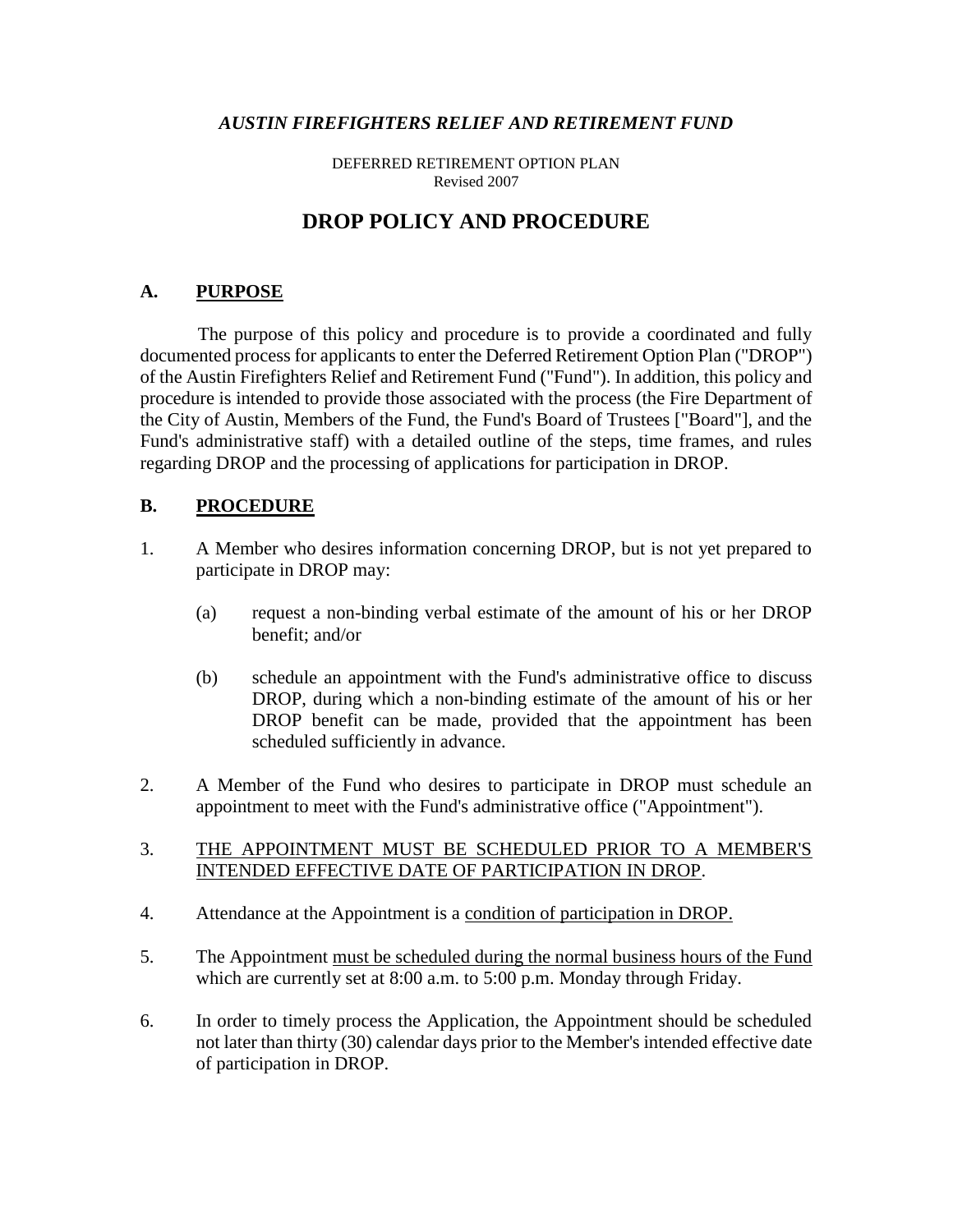#### *AUSTIN FIREFIGHTERS RELIEF AND RETIREMENT FUND*

DEFERRED RETIREMENT OPTION PLAN Revised 2007

# **DROP POLICY AND PROCEDURE**

# **A. PURPOSE**

The purpose of this policy and procedure is to provide a coordinated and fully documented process for applicants to enter the Deferred Retirement Option Plan ("DROP") of the Austin Firefighters Relief and Retirement Fund ("Fund"). In addition, this policy and procedure is intended to provide those associated with the process (the Fire Department of the City of Austin, Members of the Fund, the Fund's Board of Trustees ["Board"], and the Fund's administrative staff) with a detailed outline of the steps, time frames, and rules regarding DROP and the processing of applications for participation in DROP.

#### **B. PROCEDURE**

- 1. A Member who desires information concerning DROP, but is not yet prepared to participate in DROP may:
	- (a) request a non-binding verbal estimate of the amount of his or her DROP benefit; and/or
	- (b) schedule an appointment with the Fund's administrative office to discuss DROP, during which a non-binding estimate of the amount of his or her DROP benefit can be made, provided that the appointment has been scheduled sufficiently in advance.
- 2. A Member of the Fund who desires to participate in DROP must schedule an appointment to meet with the Fund's administrative office ("Appointment").

#### 3. THE APPOINTMENT MUST BE SCHEDULED PRIOR TO A MEMBER'S INTENDED EFFECTIVE DATE OF PARTICIPATION IN DROP.

- 4. Attendance at the Appointment is a condition of participation in DROP.
- 5. The Appointment must be scheduled during the normal business hours of the Fund which are currently set at 8:00 a.m. to 5:00 p.m. Monday through Friday.
- 6. In order to timely process the Application, the Appointment should be scheduled not later than thirty (30) calendar days prior to the Member's intended effective date of participation in DROP.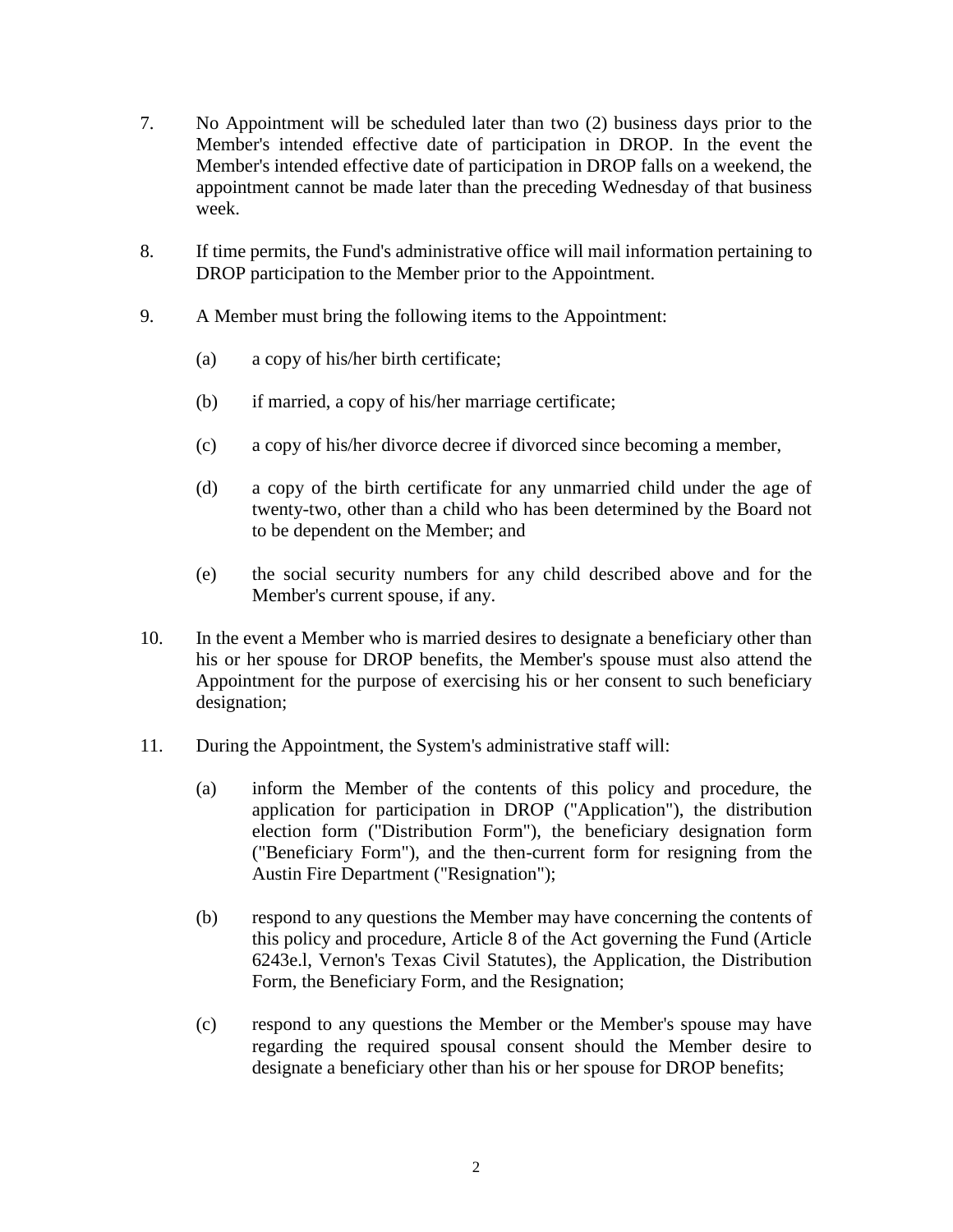- 7. No Appointment will be scheduled later than two (2) business days prior to the Member's intended effective date of participation in DROP. In the event the Member's intended effective date of participation in DROP falls on a weekend, the appointment cannot be made later than the preceding Wednesday of that business week.
- 8. If time permits, the Fund's administrative office will mail information pertaining to DROP participation to the Member prior to the Appointment.
- 9. A Member must bring the following items to the Appointment:
	- (a) a copy of his/her birth certificate;
	- (b) if married, a copy of his/her marriage certificate;
	- (c) a copy of his/her divorce decree if divorced since becoming a member,
	- (d) a copy of the birth certificate for any unmarried child under the age of twenty-two, other than a child who has been determined by the Board not to be dependent on the Member; and
	- (e) the social security numbers for any child described above and for the Member's current spouse, if any.
- 10. In the event a Member who is married desires to designate a beneficiary other than his or her spouse for DROP benefits, the Member's spouse must also attend the Appointment for the purpose of exercising his or her consent to such beneficiary designation;
- 11. During the Appointment, the System's administrative staff will:
	- (a) inform the Member of the contents of this policy and procedure, the application for participation in DROP ("Application"), the distribution election form ("Distribution Form"), the beneficiary designation form ("Beneficiary Form"), and the then-current form for resigning from the Austin Fire Department ("Resignation");
	- (b) respond to any questions the Member may have concerning the contents of this policy and procedure, Article 8 of the Act governing the Fund (Article 6243e.l, Vernon's Texas Civil Statutes), the Application, the Distribution Form, the Beneficiary Form, and the Resignation;
	- (c) respond to any questions the Member or the Member's spouse may have regarding the required spousal consent should the Member desire to designate a beneficiary other than his or her spouse for DROP benefits;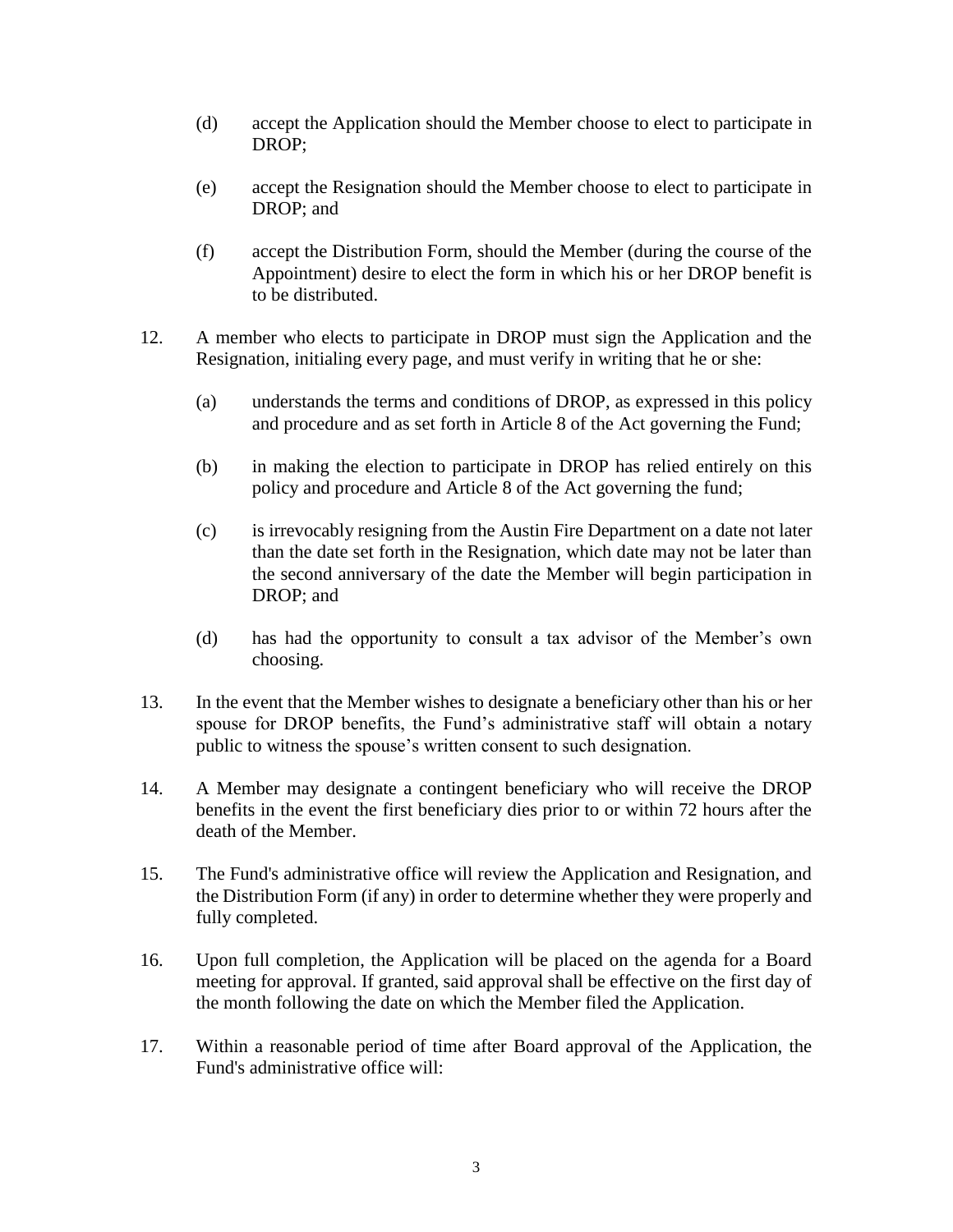- (d) accept the Application should the Member choose to elect to participate in DROP;
- (e) accept the Resignation should the Member choose to elect to participate in DROP; and
- (f) accept the Distribution Form, should the Member (during the course of the Appointment) desire to elect the form in which his or her DROP benefit is to be distributed.
- 12. A member who elects to participate in DROP must sign the Application and the Resignation, initialing every page, and must verify in writing that he or she:
	- (a) understands the terms and conditions of DROP, as expressed in this policy and procedure and as set forth in Article 8 of the Act governing the Fund;
	- (b) in making the election to participate in DROP has relied entirely on this policy and procedure and Article 8 of the Act governing the fund;
	- (c) is irrevocably resigning from the Austin Fire Department on a date not later than the date set forth in the Resignation, which date may not be later than the second anniversary of the date the Member will begin participation in DROP; and
	- (d) has had the opportunity to consult a tax advisor of the Member's own choosing.
- 13. In the event that the Member wishes to designate a beneficiary other than his or her spouse for DROP benefits, the Fund's administrative staff will obtain a notary public to witness the spouse's written consent to such designation.
- 14. A Member may designate a contingent beneficiary who will receive the DROP benefits in the event the first beneficiary dies prior to or within 72 hours after the death of the Member.
- 15. The Fund's administrative office will review the Application and Resignation, and the Distribution Form (if any) in order to determine whether they were properly and fully completed.
- 16. Upon full completion, the Application will be placed on the agenda for a Board meeting for approval. If granted, said approval shall be effective on the first day of the month following the date on which the Member filed the Application.
- 17. Within a reasonable period of time after Board approval of the Application, the Fund's administrative office will: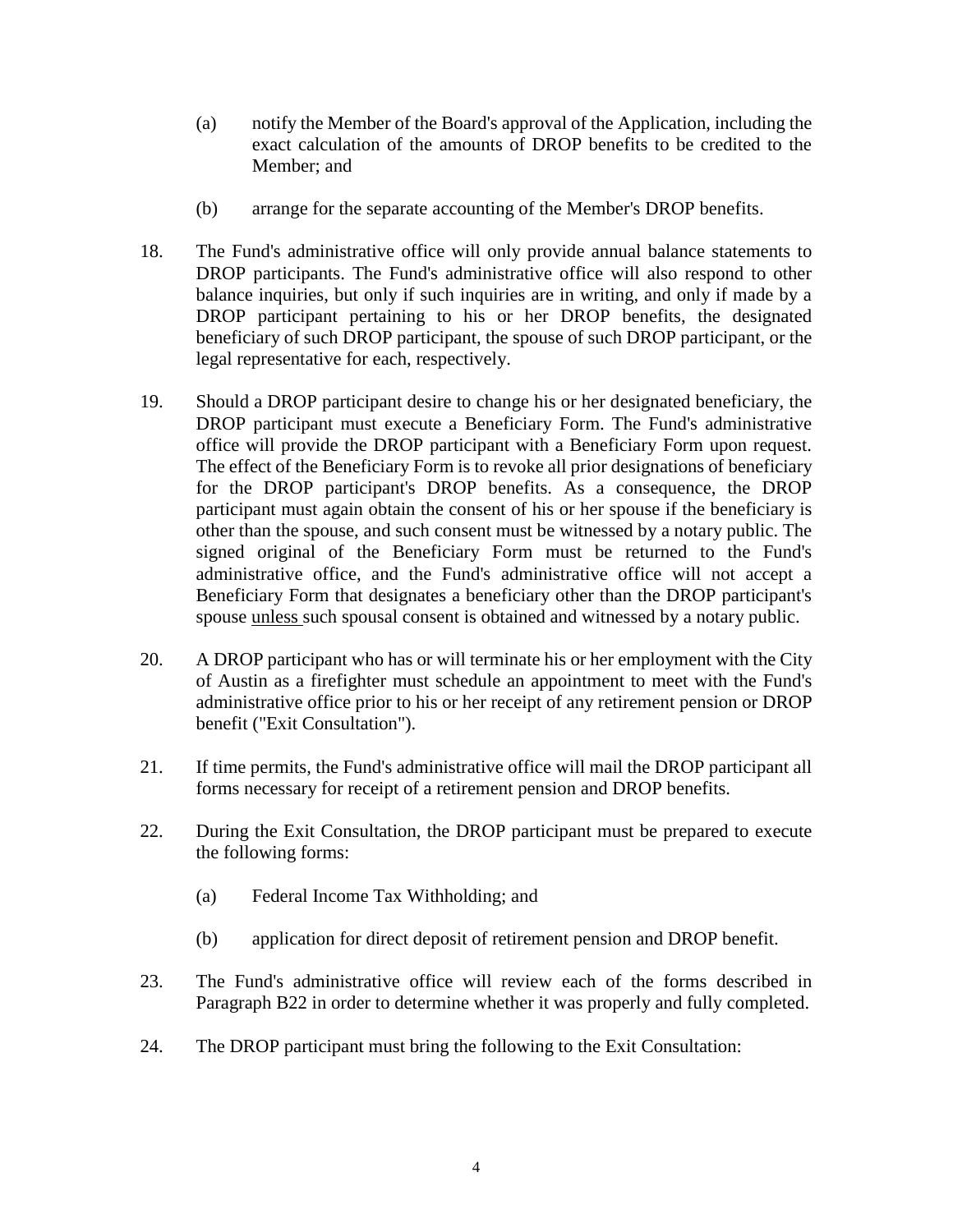- (a) notify the Member of the Board's approval of the Application, including the exact calculation of the amounts of DROP benefits to be credited to the Member: and
- (b) arrange for the separate accounting of the Member's DROP benefits.
- 18. The Fund's administrative office will only provide annual balance statements to DROP participants. The Fund's administrative office will also respond to other balance inquiries, but only if such inquiries are in writing, and only if made by a DROP participant pertaining to his or her DROP benefits, the designated beneficiary of such DROP participant, the spouse of such DROP participant, or the legal representative for each, respectively.
- 19. Should a DROP participant desire to change his or her designated beneficiary, the DROP participant must execute a Beneficiary Form. The Fund's administrative office will provide the DROP participant with a Beneficiary Form upon request. The effect of the Beneficiary Form is to revoke all prior designations of beneficiary for the DROP participant's DROP benefits. As a consequence, the DROP participant must again obtain the consent of his or her spouse if the beneficiary is other than the spouse, and such consent must be witnessed by a notary public. The signed original of the Beneficiary Form must be returned to the Fund's administrative office, and the Fund's administrative office will not accept a Beneficiary Form that designates a beneficiary other than the DROP participant's spouse unless such spousal consent is obtained and witnessed by a notary public.
- 20. A DROP participant who has or will terminate his or her employment with the City of Austin as a firefighter must schedule an appointment to meet with the Fund's administrative office prior to his or her receipt of any retirement pension or DROP benefit ("Exit Consultation").
- 21. If time permits, the Fund's administrative office will mail the DROP participant all forms necessary for receipt of a retirement pension and DROP benefits.
- 22. During the Exit Consultation, the DROP participant must be prepared to execute the following forms:
	- (a) Federal Income Tax Withholding; and
	- (b) application for direct deposit of retirement pension and DROP benefit.
- 23. The Fund's administrative office will review each of the forms described in Paragraph B22 in order to determine whether it was properly and fully completed.
- 24. The DROP participant must bring the following to the Exit Consultation: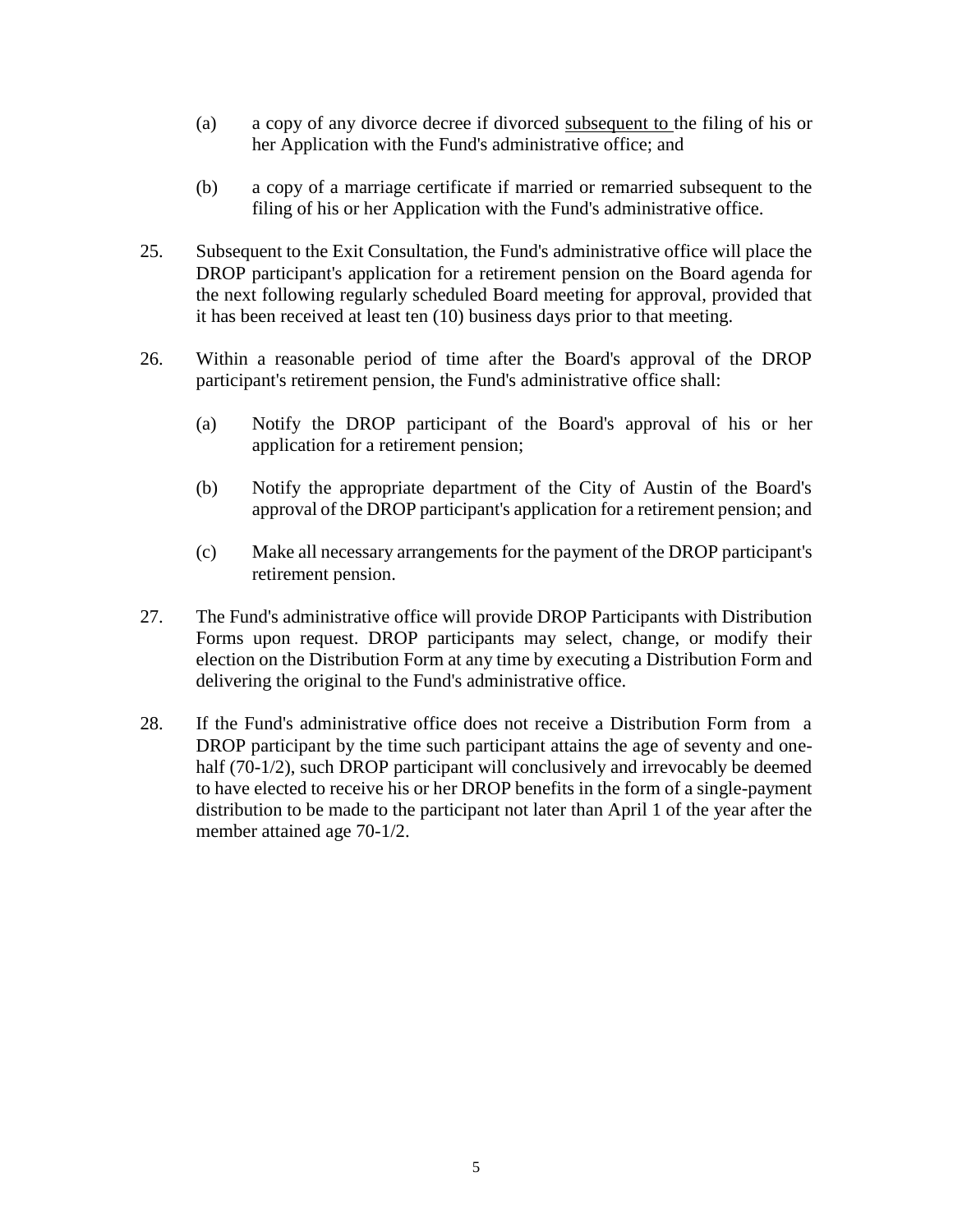- (a) a copy of any divorce decree if divorced subsequent to the filing of his or her Application with the Fund's administrative office; and
- (b) a copy of a marriage certificate if married or remarried subsequent to the filing of his or her Application with the Fund's administrative office.
- 25. Subsequent to the Exit Consultation, the Fund's administrative office will place the DROP participant's application for a retirement pension on the Board agenda for the next following regularly scheduled Board meeting for approval, provided that it has been received at least ten (10) business days prior to that meeting.
- 26. Within a reasonable period of time after the Board's approval of the DROP participant's retirement pension, the Fund's administrative office shall:
	- (a) Notify the DROP participant of the Board's approval of his or her application for a retirement pension;
	- (b) Notify the appropriate department of the City of Austin of the Board's approval of the DROP participant's application for a retirement pension; and
	- (c) Make all necessary arrangements for the payment of the DROP participant's retirement pension.
- 27. The Fund's administrative office will provide DROP Participants with Distribution Forms upon request. DROP participants may select, change, or modify their election on the Distribution Form at any time by executing a Distribution Form and delivering the original to the Fund's administrative office.
- 28. If the Fund's administrative office does not receive a Distribution Form from a DROP participant by the time such participant attains the age of seventy and onehalf (70-1/2), such DROP participant will conclusively and irrevocably be deemed to have elected to receive his or her DROP benefits in the form of a single-payment distribution to be made to the participant not later than April 1 of the year after the member attained age 70-1/2.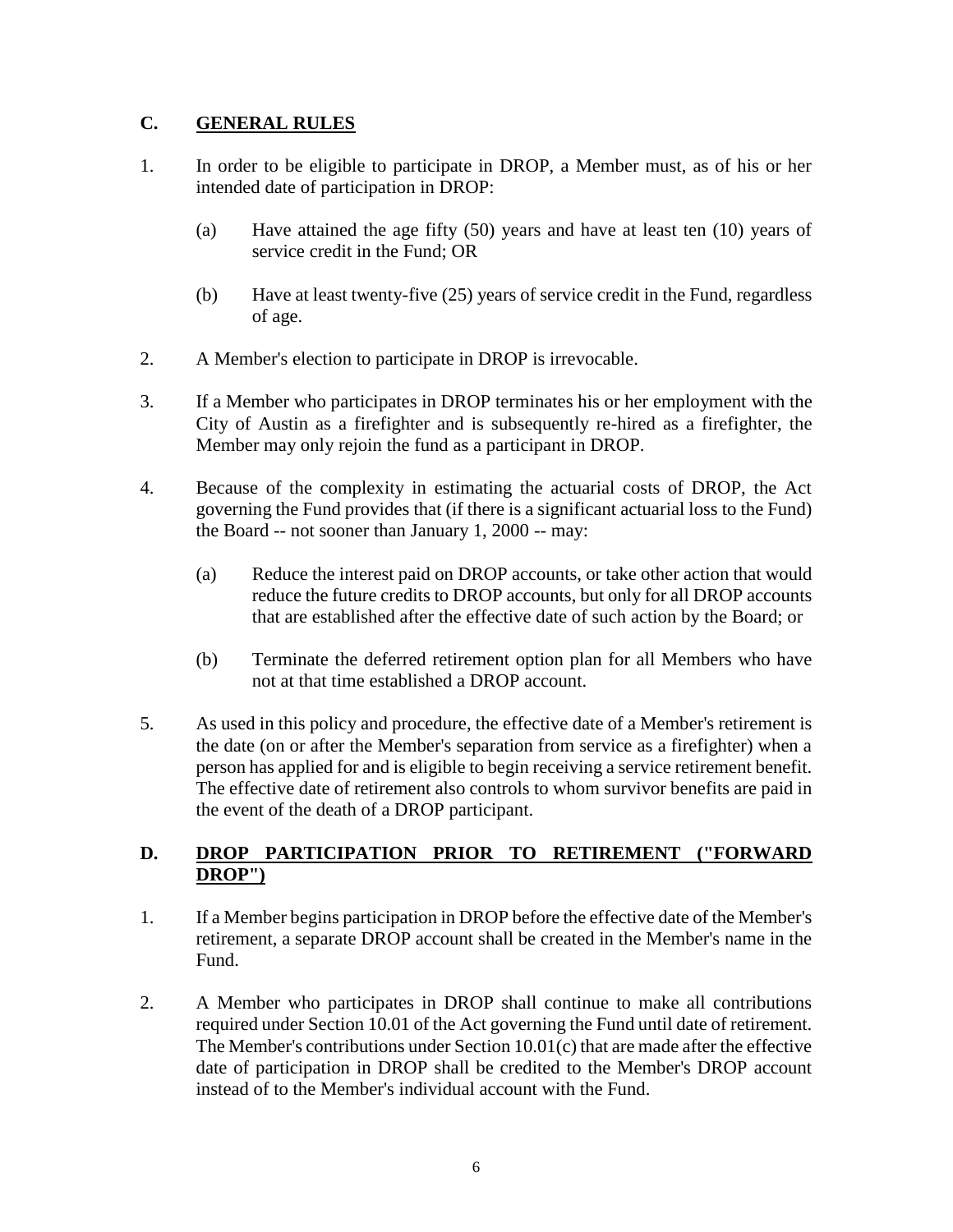## **C. GENERAL RULES**

- 1. In order to be eligible to participate in DROP, a Member must, as of his or her intended date of participation in DROP:
	- (a) Have attained the age fifty (50) years and have at least ten (10) years of service credit in the Fund; OR
	- (b) Have at least twenty-five (25) years of service credit in the Fund, regardless of age.
- 2. A Member's election to participate in DROP is irrevocable.
- 3. If a Member who participates in DROP terminates his or her employment with the City of Austin as a firefighter and is subsequently re-hired as a firefighter, the Member may only rejoin the fund as a participant in DROP.
- 4. Because of the complexity in estimating the actuarial costs of DROP, the Act governing the Fund provides that (if there is a significant actuarial loss to the Fund) the Board -- not sooner than January 1, 2000 -- may:
	- (a) Reduce the interest paid on DROP accounts, or take other action that would reduce the future credits to DROP accounts, but only for all DROP accounts that are established after the effective date of such action by the Board; or
	- (b) Terminate the deferred retirement option plan for all Members who have not at that time established a DROP account.
- 5. As used in this policy and procedure, the effective date of a Member's retirement is the date (on or after the Member's separation from service as a firefighter) when a person has applied for and is eligible to begin receiving a service retirement benefit. The effective date of retirement also controls to whom survivor benefits are paid in the event of the death of a DROP participant.

## **D. DROP PARTICIPATION PRIOR TO RETIREMENT ("FORWARD DROP")**

- 1. If a Member begins participation in DROP before the effective date of the Member's retirement, a separate DROP account shall be created in the Member's name in the Fund.
- 2. A Member who participates in DROP shall continue to make all contributions required under Section 10.01 of the Act governing the Fund until date of retirement. The Member's contributions under Section  $10.01(c)$  that are made after the effective date of participation in DROP shall be credited to the Member's DROP account instead of to the Member's individual account with the Fund.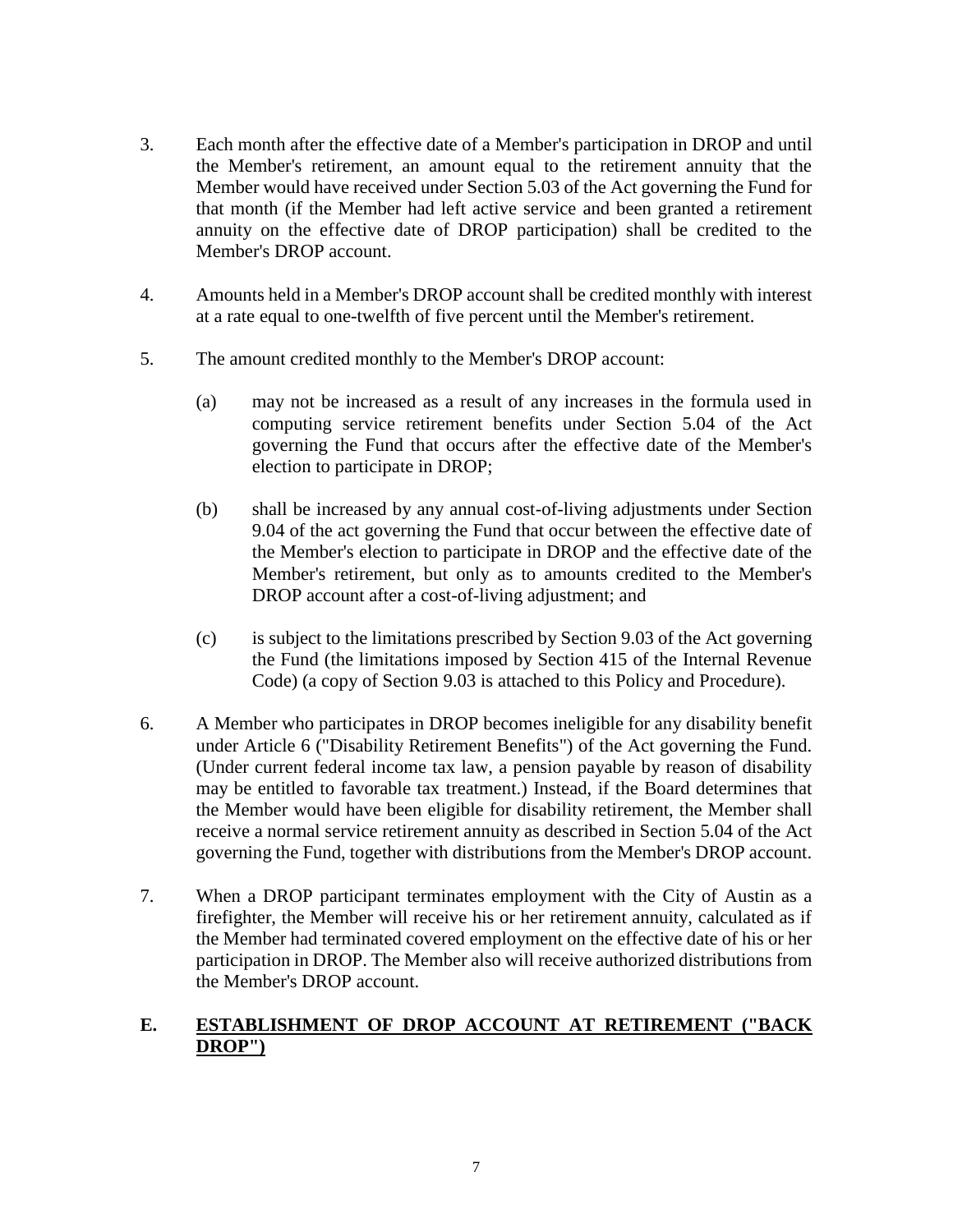- 3. Each month after the effective date of a Member's participation in DROP and until the Member's retirement, an amount equal to the retirement annuity that the Member would have received under Section 5.03 of the Act governing the Fund for that month (if the Member had left active service and been granted a retirement annuity on the effective date of DROP participation) shall be credited to the Member's DROP account.
- 4. Amounts held in a Member's DROP account shall be credited monthly with interest at a rate equal to one-twelfth of five percent until the Member's retirement.
- 5. The amount credited monthly to the Member's DROP account:
	- (a) may not be increased as a result of any increases in the formula used in computing service retirement benefits under Section 5.04 of the Act governing the Fund that occurs after the effective date of the Member's election to participate in DROP;
	- (b) shall be increased by any annual cost-of-living adjustments under Section 9.04 of the act governing the Fund that occur between the effective date of the Member's election to participate in DROP and the effective date of the Member's retirement, but only as to amounts credited to the Member's DROP account after a cost-of-living adjustment; and
	- (c) is subject to the limitations prescribed by Section 9.03 of the Act governing the Fund (the limitations imposed by Section 415 of the Internal Revenue Code) (a copy of Section 9.03 is attached to this Policy and Procedure).
- 6. A Member who participates in DROP becomes ineligible for any disability benefit under Article 6 ("Disability Retirement Benefits") of the Act governing the Fund. (Under current federal income tax law, a pension payable by reason of disability may be entitled to favorable tax treatment.) Instead, if the Board determines that the Member would have been eligible for disability retirement, the Member shall receive a normal service retirement annuity as described in Section 5.04 of the Act governing the Fund, together with distributions from the Member's DROP account.
- 7. When a DROP participant terminates employment with the City of Austin as a firefighter, the Member will receive his or her retirement annuity, calculated as if the Member had terminated covered employment on the effective date of his or her participation in DROP. The Member also will receive authorized distributions from the Member's DROP account.

#### **E. ESTABLISHMENT OF DROP ACCOUNT AT RETIREMENT ("BACK DROP")**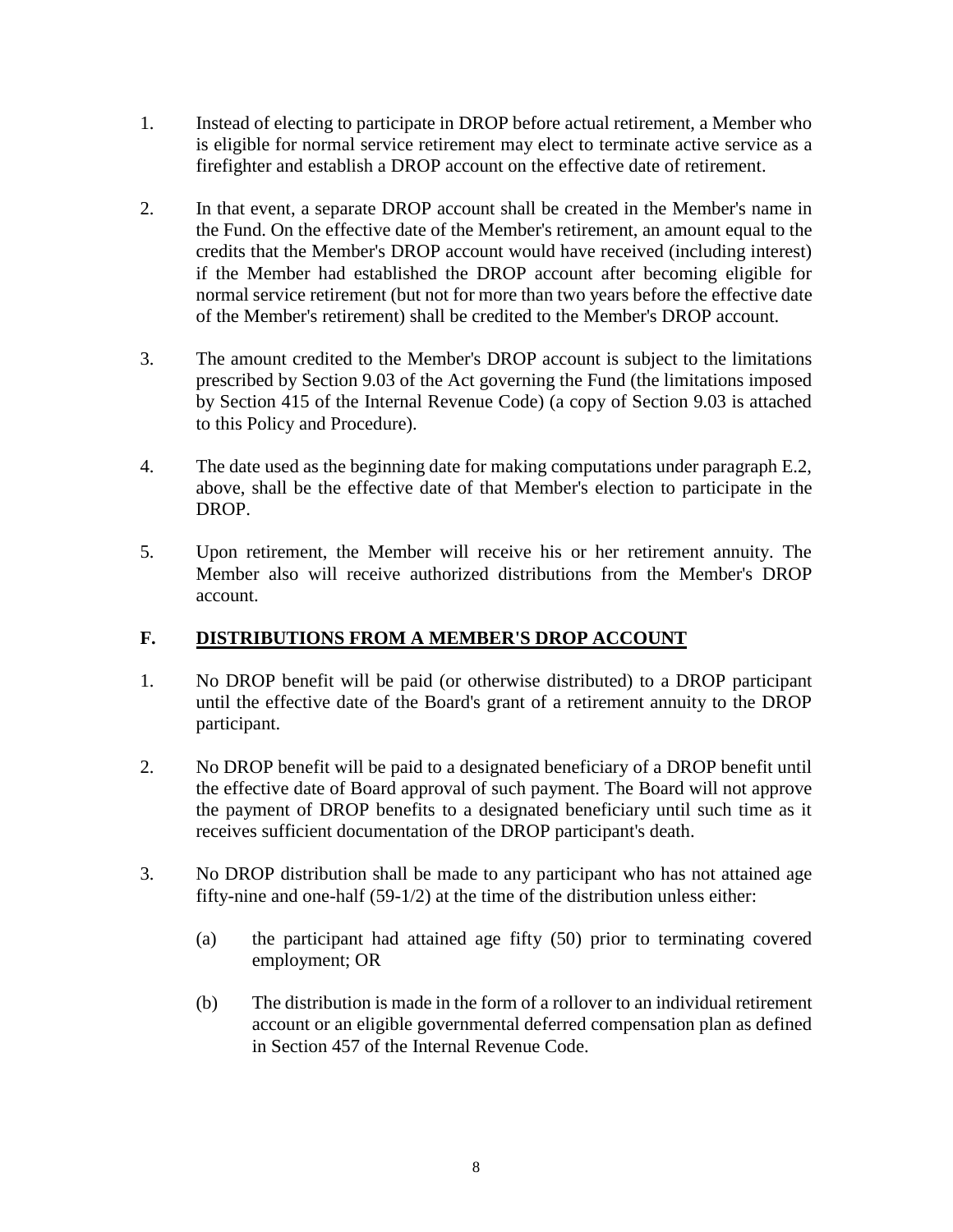- 1. Instead of electing to participate in DROP before actual retirement, a Member who is eligible for normal service retirement may elect to terminate active service as a firefighter and establish a DROP account on the effective date of retirement.
- 2. In that event, a separate DROP account shall be created in the Member's name in the Fund. On the effective date of the Member's retirement, an amount equal to the credits that the Member's DROP account would have received (including interest) if the Member had established the DROP account after becoming eligible for normal service retirement (but not for more than two years before the effective date of the Member's retirement) shall be credited to the Member's DROP account.
- 3. The amount credited to the Member's DROP account is subject to the limitations prescribed by Section 9.03 of the Act governing the Fund (the limitations imposed by Section 415 of the Internal Revenue Code) (a copy of Section 9.03 is attached to this Policy and Procedure).
- 4. The date used as the beginning date for making computations under paragraph E.2, above, shall be the effective date of that Member's election to participate in the DROP.
- 5. Upon retirement, the Member will receive his or her retirement annuity. The Member also will receive authorized distributions from the Member's DROP account.

# **F. DISTRIBUTIONS FROM A MEMBER'S DROP ACCOUNT**

- 1. No DROP benefit will be paid (or otherwise distributed) to a DROP participant until the effective date of the Board's grant of a retirement annuity to the DROP participant.
- 2. No DROP benefit will be paid to a designated beneficiary of a DROP benefit until the effective date of Board approval of such payment. The Board will not approve the payment of DROP benefits to a designated beneficiary until such time as it receives sufficient documentation of the DROP participant's death.
- 3. No DROP distribution shall be made to any participant who has not attained age fifty-nine and one-half (59-1/2) at the time of the distribution unless either:
	- (a) the participant had attained age fifty (50) prior to terminating covered employment; OR
	- (b) The distribution is made in the form of a rollover to an individual retirement account or an eligible governmental deferred compensation plan as defined in Section 457 of the Internal Revenue Code.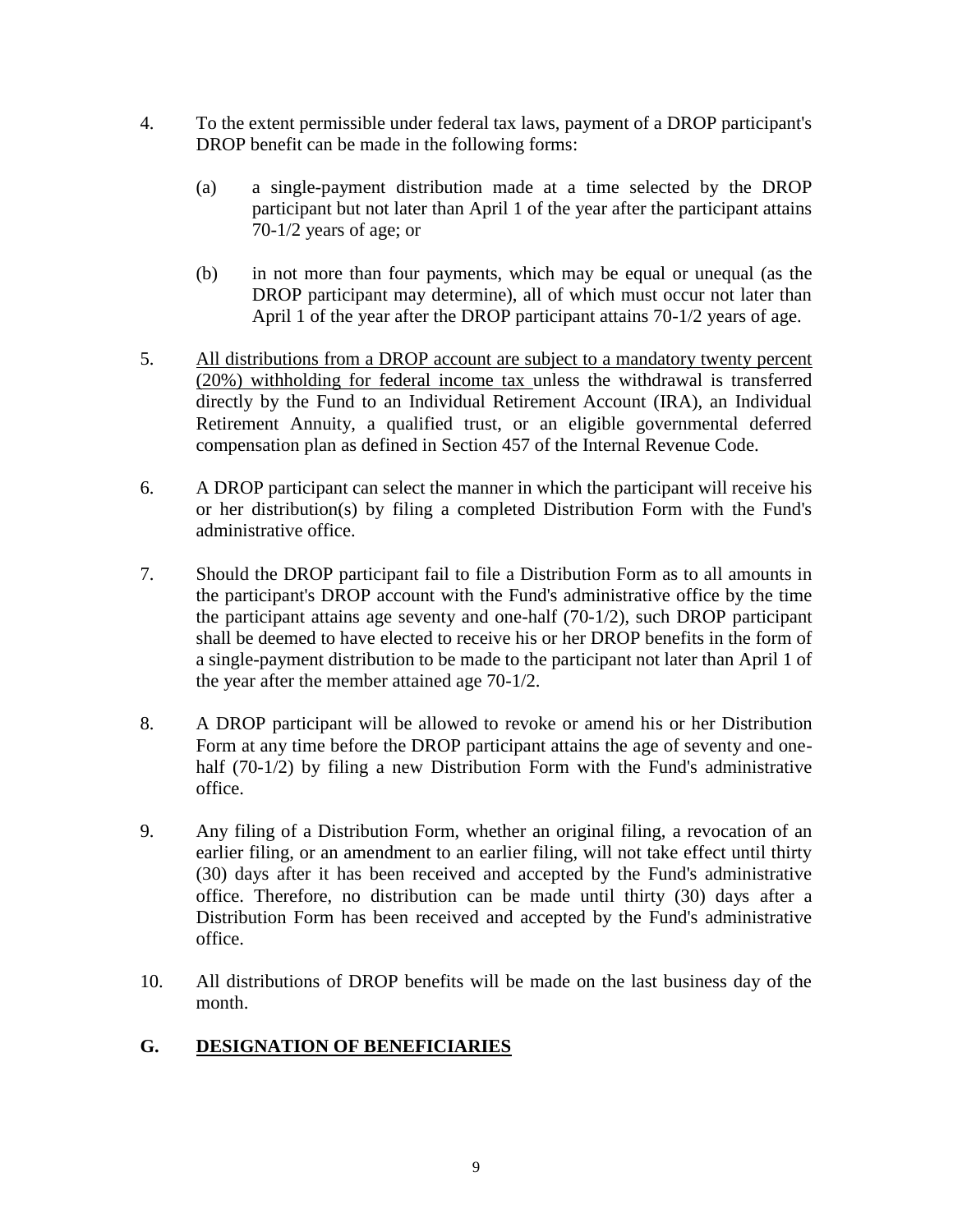- 4. To the extent permissible under federal tax laws, payment of a DROP participant's DROP benefit can be made in the following forms:
	- (a) a single-payment distribution made at a time selected by the DROP participant but not later than April 1 of the year after the participant attains 70-1/2 years of age; or
	- (b) in not more than four payments, which may be equal or unequal (as the DROP participant may determine), all of which must occur not later than April 1 of the year after the DROP participant attains 70-1/2 years of age.
- 5. All distributions from a DROP account are subject to a mandatory twenty percent (20%) withholding for federal income tax unless the withdrawal is transferred directly by the Fund to an Individual Retirement Account (IRA), an Individual Retirement Annuity, a qualified trust, or an eligible governmental deferred compensation plan as defined in Section 457 of the Internal Revenue Code.
- 6. A DROP participant can select the manner in which the participant will receive his or her distribution(s) by filing a completed Distribution Form with the Fund's administrative office.
- 7. Should the DROP participant fail to file a Distribution Form as to all amounts in the participant's DROP account with the Fund's administrative office by the time the participant attains age seventy and one-half (70-1/2), such DROP participant shall be deemed to have elected to receive his or her DROP benefits in the form of a single-payment distribution to be made to the participant not later than April 1 of the year after the member attained age 70-1/2.
- 8. A DROP participant will be allowed to revoke or amend his or her Distribution Form at any time before the DROP participant attains the age of seventy and onehalf (70-1/2) by filing a new Distribution Form with the Fund's administrative office.
- 9. Any filing of a Distribution Form, whether an original filing, a revocation of an earlier filing, or an amendment to an earlier filing, will not take effect until thirty (30) days after it has been received and accepted by the Fund's administrative office. Therefore, no distribution can be made until thirty (30) days after a Distribution Form has been received and accepted by the Fund's administrative office.
- 10. All distributions of DROP benefits will be made on the last business day of the month.

# **G. DESIGNATION OF BENEFICIARIES**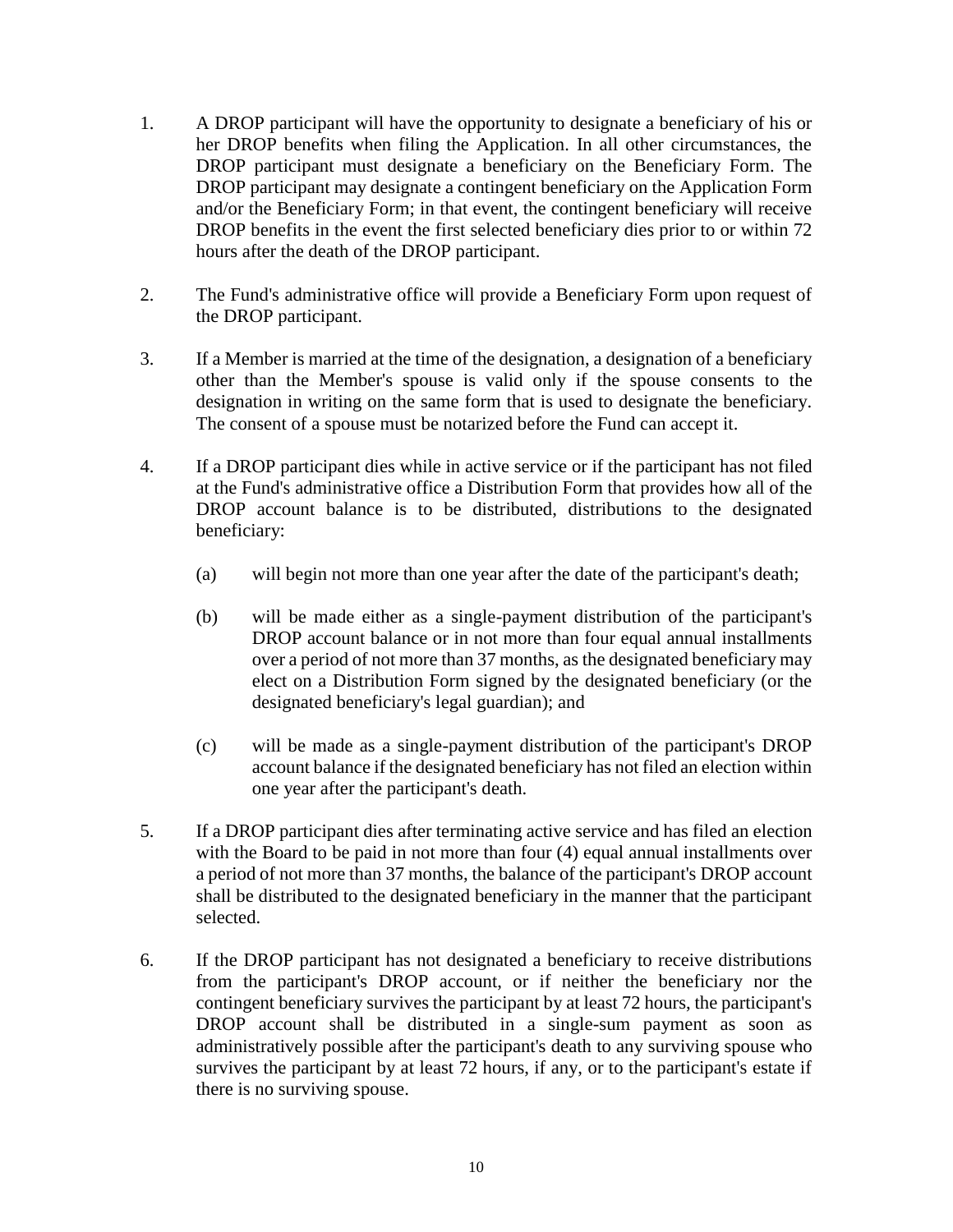- 1. A DROP participant will have the opportunity to designate a beneficiary of his or her DROP benefits when filing the Application. In all other circumstances, the DROP participant must designate a beneficiary on the Beneficiary Form. The DROP participant may designate a contingent beneficiary on the Application Form and/or the Beneficiary Form; in that event, the contingent beneficiary will receive DROP benefits in the event the first selected beneficiary dies prior to or within 72 hours after the death of the DROP participant.
- 2. The Fund's administrative office will provide a Beneficiary Form upon request of the DROP participant.
- 3. If a Member is married at the time of the designation, a designation of a beneficiary other than the Member's spouse is valid only if the spouse consents to the designation in writing on the same form that is used to designate the beneficiary. The consent of a spouse must be notarized before the Fund can accept it.
- 4. If a DROP participant dies while in active service or if the participant has not filed at the Fund's administrative office a Distribution Form that provides how all of the DROP account balance is to be distributed, distributions to the designated beneficiary:
	- (a) will begin not more than one year after the date of the participant's death;
	- (b) will be made either as a single-payment distribution of the participant's DROP account balance or in not more than four equal annual installments over a period of not more than 37 months, as the designated beneficiary may elect on a Distribution Form signed by the designated beneficiary (or the designated beneficiary's legal guardian); and
	- (c) will be made as a single-payment distribution of the participant's DROP account balance if the designated beneficiary has not filed an election within one year after the participant's death.
- 5. If a DROP participant dies after terminating active service and has filed an election with the Board to be paid in not more than four (4) equal annual installments over a period of not more than 37 months, the balance of the participant's DROP account shall be distributed to the designated beneficiary in the manner that the participant selected.
- 6. If the DROP participant has not designated a beneficiary to receive distributions from the participant's DROP account, or if neither the beneficiary nor the contingent beneficiary survives the participant by at least 72 hours, the participant's DROP account shall be distributed in a single-sum payment as soon as administratively possible after the participant's death to any surviving spouse who survives the participant by at least 72 hours, if any, or to the participant's estate if there is no surviving spouse.